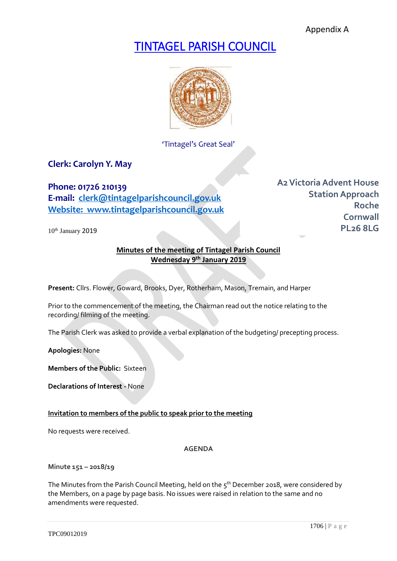Appendix A

# TINTAGEL PARISH COUNCIL



'Tintagel's Great Seal'

# **Clerk: Carolyn Y. May**

**Phone: 01726 210139 E-mail: [clerk@tintagelparishcouncil.gov.uk](mailto:clerk@tintagelparishcouncil.gov.uk) Website: www.tintagelparishcouncil.gov.uk**

10<sup>th</sup> January 2019

**A2Victoria Advent House Station Approach Roche Cornwall PL26 8LG**

# **Minutes of the meeting of Tintagel Parish Council Wednesday 9 th January 2019**

**Present:** Cllrs. Flower, Goward, Brooks, Dyer, Rotherham, Mason, Tremain, and Harper

Prior to the commencement of the meeting, the Chairman read out the notice relating to the recording/ filming of the meeting.

The Parish Clerk was asked to provide a verbal explanation of the budgeting/ precepting process.

**Apologies:** None

**Members of the Public:** Sixteen

**Declarations of Interest -** None

#### **Invitation to members of the public to speak prior to the meeting**

No requests were received.

**AGENDA**

**Minute 151 – 2018/19**

The Minutes from the Parish Council Meeting, held on the  $5^{th}$  December 2018, were considered by the Members, on a page by page basis. No issues were raised in relation to the same and no amendments were requested.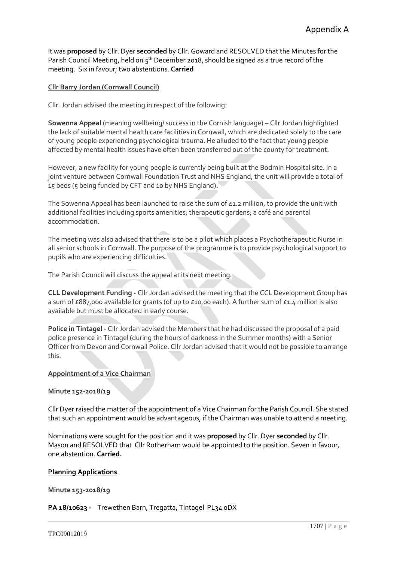It was **proposed** by Cllr. Dyer **seconded** by Cllr. Goward and RESOLVED that the Minutes for the Parish Council Meeting, held on  $5<sup>th</sup>$  December 2018, should be signed as a true record of the meeting. Six in favour; two abstentions. **Carried**

#### **Cllr Barry Jordan (Cornwall Council)**

Cllr. Jordan advised the meeting in respect of the following:

**Sowenna Appeal** (meaning wellbeing/ success in the Cornish language) – Cllr Jordan highlighted the lack of suitable mental health care facilities in Cornwall, which are dedicated solely to the care of young people experiencing psychological trauma. He alluded to the fact that young people affected by mental health issues have often been transferred out of the county for treatment.

However, a new facility for young people is currently being built at the Bodmin Hospital site. In a joint venture between Cornwall Foundation Trust and NHS England, the unit will provide a total of 15 beds (5 being funded by CFT and 10 by NHS England).

The Sowenna Appeal has been launched to raise the sum of  $\epsilon$ 1.2 million, to provide the unit with additional facilities including sports amenities; therapeutic gardens; a café and parental accommodation.

The meeting was also advised that there is to be a pilot which places a Psychotherapeutic Nurse in all senior schools in Cornwall. The purpose of the programme is to provide psychological support to pupils who are experiencing difficulties.

The Parish Council will discuss the appeal at its next meeting.

**CLL Development Funding -** Cllr Jordan advised the meeting that the CCL Development Group has a sum of £887,000 available for grants (of up to £10,00 each). A further sum of £1.4 million is also available but must be allocated in early course.

**Police in Tintagel** - Cllr Jordan advised the Members that he had discussed the proposal of a paid police presence in Tintagel (during the hours of darkness in the Summer months) with a Senior Officer from Devon and Cornwall Police. Cllr Jordan advised that it would not be possible to arrange this.

#### **Appointment of a Vice Chairman**

#### **Minute 152-2018/19**

Cllr Dyer raised the matter of the appointment of a Vice Chairman for the Parish Council. She stated that such an appointment would be advantageous, if the Chairman was unable to attend a meeting.

Nominations were sought for the position and it was **proposed** by Cllr. Dyer **seconded** by Cllr. Mason and RESOLVED that Cllr Rotherham would be appointed to the position. Seven in favour, one abstention. **Carried.**

#### **Planning Applications**

**Minute 153-2018/19**

**PA 18/10623 -** Trewethen Barn, Tregatta, Tintagel PL34 0DX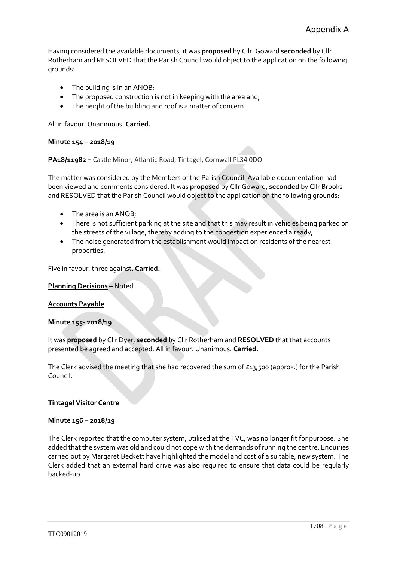Having considered the available documents, it was **proposed** by Cllr. Goward **seconded** by Cllr. Rotherham and RESOLVED that the Parish Council would object to the application on the following grounds:

- The building is in an ANOB;
- The proposed construction is not in keeping with the area and;
- The height of the building and roof is a matter of concern.

All in favour. Unanimous. **Carried.**

#### **Minute 154 – 2018/19**

**PA18/11982 –** Castle Minor, Atlantic Road, Tintagel, Cornwall PL34 0DQ

The matter was considered by the Members of the Parish Council. Available documentation had been viewed and comments considered. It was **proposed** by Cllr Goward, **seconded** by Cllr Brooks and RESOLVED that the Parish Council would object to the application on the following grounds:

- The area is an ANOB;
- There is not sufficient parking at the site and that this may result in vehicles being parked on the streets of the village, thereby adding to the congestion experienced already;
- The noise generated from the establishment would impact on residents of the nearest properties.

Five in favour, three against. **Carried.**

#### **Planning Decisions –** Noted

#### **Accounts Payable**

#### **Minute 155- 2018/19**

It was **proposed** by Cllr Dyer, **seconded** by Cllr Rotherham and **RESOLVED** that that accounts presented be agreed and accepted. All in favour. Unanimous. **Carried.**

The Clerk advised the meeting that she had recovered the sum of  $\epsilon$ 13,500 (approx.) for the Parish Council.

#### **Tintagel Visitor Centre**

#### **Minute 156 – 2018/19**

The Clerk reported that the computer system, utilised at the TVC, was no longer fit for purpose. She added that the system was old and could not cope with the demands of running the centre. Enquiries carried out by Margaret Beckett have highlighted the model and cost of a suitable, new system. The Clerk added that an external hard drive was also required to ensure that data could be regularly backed-up.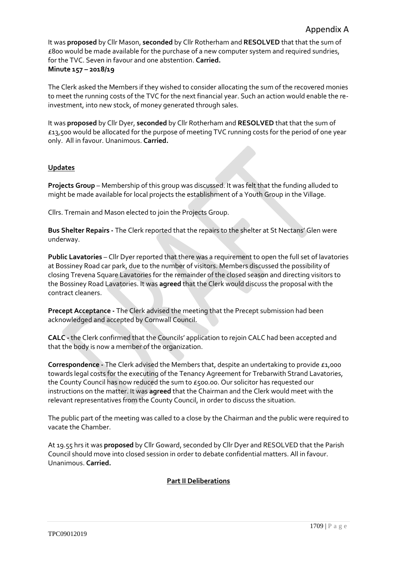It was **proposed** by Cllr Mason, **seconded** by Cllr Rotherham and **RESOLVED** that that the sum of £800 would be made available for the purchase of a new computer system and required sundries, for the TVC. Seven in favour and one abstention. **Carried. Minute 157 – 2018/19**

The Clerk asked the Members if they wished to consider allocating the sum of the recovered monies to meet the running costs of the TVC for the next financial year. Such an action would enable the reinvestment, into new stock, of money generated through sales.

It was **proposed** by Cllr Dyer, **seconded** by Cllr Rotherham and **RESOLVED** that that the sum of £13,500 would be allocated for the purpose of meeting TVC running costs for the period of one year only. All in favour. Unanimous. **Carried.**

# **Updates**

**Projects Group** – Membership of this group was discussed. It was felt that the funding alluded to might be made available for local projects the establishment of a Youth Group in the Village.

Cllrs. Tremain and Mason elected to join the Projects Group.

**Bus Shelter Repairs -** The Clerk reported that the repairs to the shelter at St Nectans' Glen were underway.

**Public Lavatories** – Cllr Dyer reported that there was a requirement to open the full set of lavatories at Bossiney Road car park, due to the number of visitors. Members discussed the possibility of closing Trevena Square Lavatories for the remainder of the closed season and directing visitors to the Bossiney Road Lavatories. It was **agreed** that the Clerk would discuss the proposal with the contract cleaners.

**Precept Acceptance -** The Clerk advised the meeting that the Precept submission had been acknowledged and accepted by Cornwall Council.

**CALC -** the Clerk confirmed that the Councils' application to rejoin CALC had been accepted and that the body is now a member of the organization.

**Correspondence -** The Clerk advised the Members that, despite an undertaking to provide £1,000 towards legal costs for the executing of the Tenancy Agreement for Trebarwith Strand Lavatories, the County Council has now reduced the sum to £500.00. Our solicitor has requested our instructions on the matter. It was **agreed** that the Chairman and the Clerk would meet with the relevant representatives from the County Council, in order to discuss the situation.

The public part of the meeting was called to a close by the Chairman and the public were required to vacate the Chamber.

At 19.55 hrs it was **proposed** by Cllr Goward, seconded by Cllr Dyer and RESOLVED that the Parish Council should move into closed session in order to debate confidential matters. All in favour. Unanimous. **Carried.**

#### **Part II Deliberations**